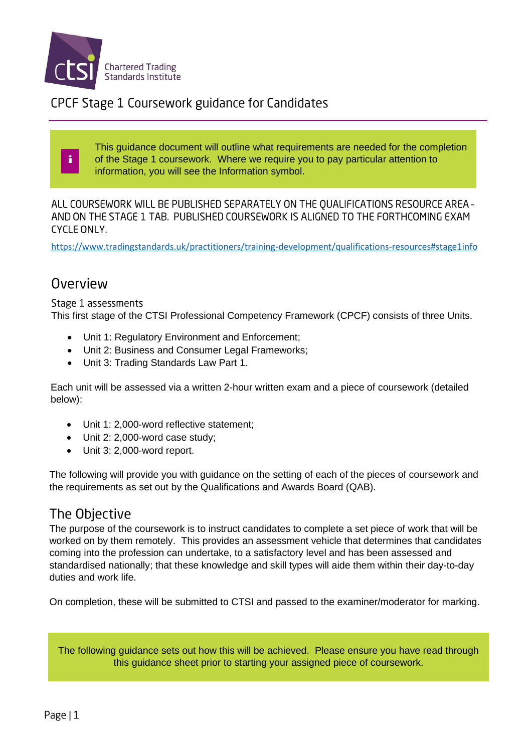

CPCF Stage 1 Coursework guidance for Candidates

This guidance document will outline what requirements are needed for the completion of the Stage 1 coursework. Where we require you to pay particular attention to information, you will see the Information symbol.

ALL COURSEWORK WILL BE PUBLISHED SEPARATELY ON THE QUALIFICATIONS RESOURCE AREA -AND ON THE STAGE 1 TAB. PUBLISHED COURSEWORK IS ALIGNED TO THE FORTHCOMING EXAM **CYCLE ONLY.** 

<https://www.tradingstandards.uk/practitioners/training-development/qualifications-resources#stage1info>

### Overview

i

Stage 1 assessments

This first stage of the CTSI Professional Competency Framework (CPCF) consists of three Units.

- Unit 1: Regulatory Environment and Enforcement;
- Unit 2: Business and Consumer Legal Frameworks;
- Unit 3: Trading Standards Law Part 1.

Each unit will be assessed via a written 2-hour written exam and a piece of coursework (detailed below):

- Unit 1: 2,000-word reflective statement;
- Unit 2: 2,000-word case study;
- Unit 3: 2,000-word report.

The following will provide you with guidance on the setting of each of the pieces of coursework and the requirements as set out by the Qualifications and Awards Board (QAB).

## The Objective

The purpose of the coursework is to instruct candidates to complete a set piece of work that will be worked on by them remotely. This provides an assessment vehicle that determines that candidates coming into the profession can undertake, to a satisfactory level and has been assessed and standardised nationally; that these knowledge and skill types will aide them within their day-to-day duties and work life.

On completion, these will be submitted to CTSI and passed to the examiner/moderator for marking.

The following guidance sets out how this will be achieved. Please ensure you have read through this guidance sheet prior to starting your assigned piece of coursework.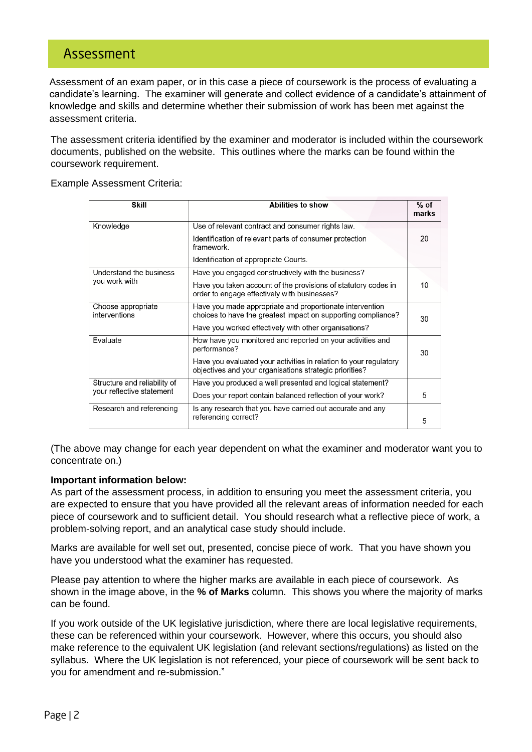### Assessment

Assessment of an exam paper, or in this case a piece of coursework is the process of evaluating a candidate's learning. The examiner will generate and collect evidence of a candidate's attainment of knowledge and skills and determine whether their submission of work has been met against the assessment criteria.

The assessment criteria identified by the examiner and moderator is included within the coursework documents, published on the website. This outlines where the marks can be found within the coursework requirement.

Example Assessment Criteria:

| <b>Skill</b>                        | Abilities to show                                                                                                            | $%$ of<br>marks |
|-------------------------------------|------------------------------------------------------------------------------------------------------------------------------|-----------------|
| Knowledge                           | Use of relevant contract and consumer rights law.                                                                            |                 |
|                                     | Identification of relevant parts of consumer protection<br>framework.                                                        | 20              |
|                                     | Identification of appropriate Courts.                                                                                        |                 |
| Understand the business             | Have you engaged constructively with the business?                                                                           |                 |
| you work with                       | Have you taken account of the provisions of statutory codes in<br>order to engage effectively with businesses?               | 10              |
| Choose appropriate<br>interventions | Have you made appropriate and proportionate intervention<br>choices to have the greatest impact on supporting compliance?    | 30              |
|                                     | Have you worked effectively with other organisations?                                                                        |                 |
| Evaluate                            | How have you monitored and reported on your activities and<br>performance?                                                   | 30              |
|                                     | Have you evaluated your activities in relation to your regulatory<br>objectives and your organisations strategic priorities? |                 |
| Structure and reliability of        | Have you produced a well presented and logical statement?                                                                    |                 |
| your reflective statement           | Does your report contain balanced reflection of your work?                                                                   | 5               |
| Research and referencing            | Is any research that you have carried out accurate and any                                                                   |                 |
|                                     | referencing correct?                                                                                                         | 5               |

(The above may change for each year dependent on what the examiner and moderator want you to concentrate on.)

#### **Important information below:**

As part of the assessment process, in addition to ensuring you meet the assessment criteria, you are expected to ensure that you have provided all the relevant areas of information needed for each piece of coursework and to sufficient detail. You should research what a reflective piece of work, a problem-solving report, and an analytical case study should include.

Marks are available for well set out, presented, concise piece of work. That you have shown you have you understood what the examiner has requested.

Please pay attention to where the higher marks are available in each piece of coursework. As shown in the image above, in the **% of Marks** column. This shows you where the majority of marks can be found.

If you work outside of the UK legislative jurisdiction, where there are local legislative requirements, these can be referenced within your coursework. However, where this occurs, you should also make reference to the equivalent UK legislation (and relevant sections/regulations) as listed on the syllabus. Where the UK legislation is not referenced, your piece of coursework will be sent back to you for amendment and re-submission."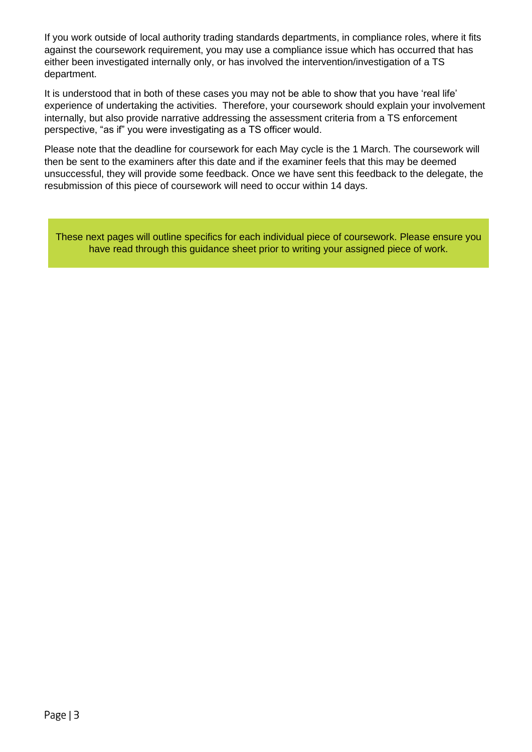If you work outside of local authority trading standards departments, in compliance roles, where it fits against the coursework requirement, you may use a compliance issue which has occurred that has either been investigated internally only, or has involved the intervention/investigation of a TS department.

It is understood that in both of these cases you may not be able to show that you have 'real life' experience of undertaking the activities. Therefore, your coursework should explain your involvement internally, but also provide narrative addressing the assessment criteria from a TS enforcement perspective, "as if" you were investigating as a TS officer would.

Please note that the deadline for coursework for each May cycle is the 1 March. The coursework will then be sent to the examiners after this date and if the examiner feels that this may be deemed unsuccessful, they will provide some feedback. Once we have sent this feedback to the delegate, the resubmission of this piece of coursework will need to occur within 14 days.

These next pages will outline specifics for each individual piece of coursework. Please ensure you have read through this guidance sheet prior to writing your assigned piece of work.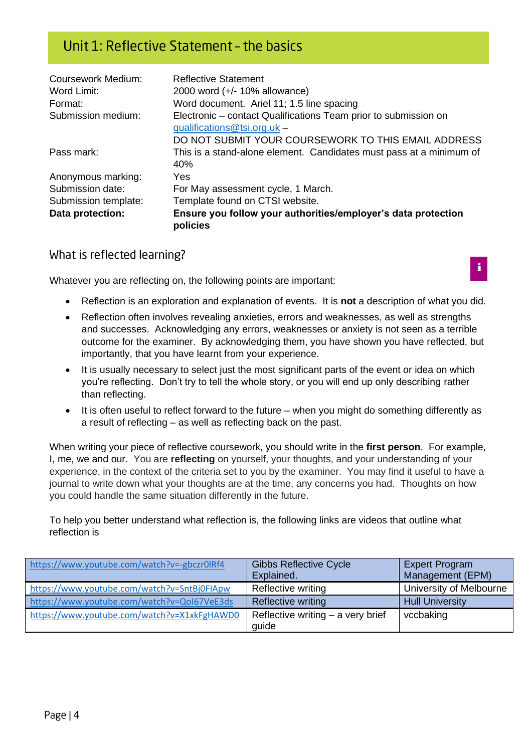## Unit 1: Reflective Statement - the basics

| <b>Coursework Medium:</b> | <b>Reflective Statement</b>                                               |
|---------------------------|---------------------------------------------------------------------------|
| Word Limit:               | 2000 word (+/- 10% allowance)                                             |
| Format:                   | Word document. Ariel 11; 1.5 line spacing                                 |
| Submission medium:        | Electronic – contact Qualifications Team prior to submission on           |
|                           | qualifications@tsi.org.uk -                                               |
|                           | DO NOT SUBMIT YOUR COURSEWORK TO THIS EMAIL ADDRESS                       |
| Pass mark:                | This is a stand-alone element. Candidates must pass at a minimum of       |
|                           | 40%                                                                       |
| Anonymous marking:        | Yes                                                                       |
| Submission date:          | For May assessment cycle, 1 March.                                        |
| Submission template:      | Template found on CTSI website.                                           |
| Data protection:          | Ensure you follow your authorities/employer's data protection<br>policies |

#### What is reflected learning?

Whatever you are reflecting on, the following points are important:

- Reflection is an exploration and explanation of events. It is **not** a description of what you did.
- Reflection often involves revealing anxieties, errors and weaknesses, as well as strengths and successes. Acknowledging any errors, weaknesses or anxiety is not seen as a terrible outcome for the examiner. By acknowledging them, you have shown you have reflected, but importantly, that you have learnt from your experience.
- It is usually necessary to select just the most significant parts of the event or idea on which you're reflecting. Don't try to tell the whole story, or you will end up only describing rather than reflecting.
- It is often useful to reflect forward to the future when you might do something differently as a result of reflecting – as well as reflecting back on the past.

When writing your piece of reflective coursework, you should write in the **first person**. For example, I, me, we and our. You are **reflecting** on yourself, your thoughts, and your understanding of your experience, in the context of the criteria set to you by the examiner. You may find it useful to have a journal to write down what your thoughts are at the time, any concerns you had. Thoughts on how you could handle the same situation differently in the future.

To help you better understand what reflection is, the following links are videos that outline what reflection is

| https://www.youtube.com/watch?v=-gbczr0lRf4 | <b>Gibbs Reflective Cycle</b><br>Explained. | <b>Expert Program</b><br>Management (EPM) |
|---------------------------------------------|---------------------------------------------|-------------------------------------------|
|                                             |                                             |                                           |
| https://www.youtube.com/watch?v=SntBj0FIApw | Reflective writing                          | University of Melbourne                   |
| https://www.youtube.com/watch?v=QoI67VeE3ds | <b>Reflective writing</b>                   | <b>Hull University</b>                    |
| https://www.youtube.com/watch?v=X1xkFgHAWD0 | Reflective writing $-$ a very brief         | vccbaking                                 |
|                                             | quide                                       |                                           |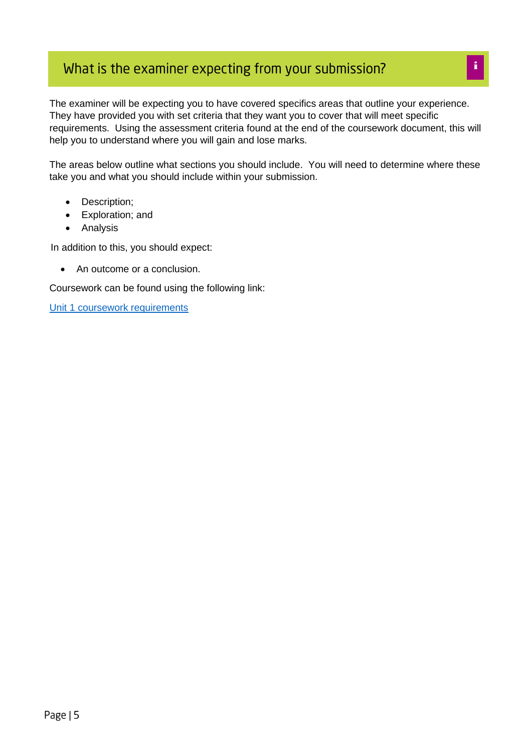# What is the examiner expecting from your submission?

The examiner will be expecting you to have covered specifics areas that outline your experience. They have provided you with set criteria that they want you to cover that will meet specific requirements. Using the assessment criteria found at the end of the coursework document, this will help you to understand where you will gain and lose marks.

The areas below outline what sections you should include. You will need to determine where these take you and what you should include within your submission.

- Description;
- Exploration; and
- Analysis

In addition to this, you should expect:

• An outcome or a conclusion.

Coursework can be found using the following link:

[Unit 1 coursework requirements](https://www.tradingstandards.uk/media/documents/practitioners/cpcf/coursework/unit-1-coursework-for-2021-cycle-final.pdf)

i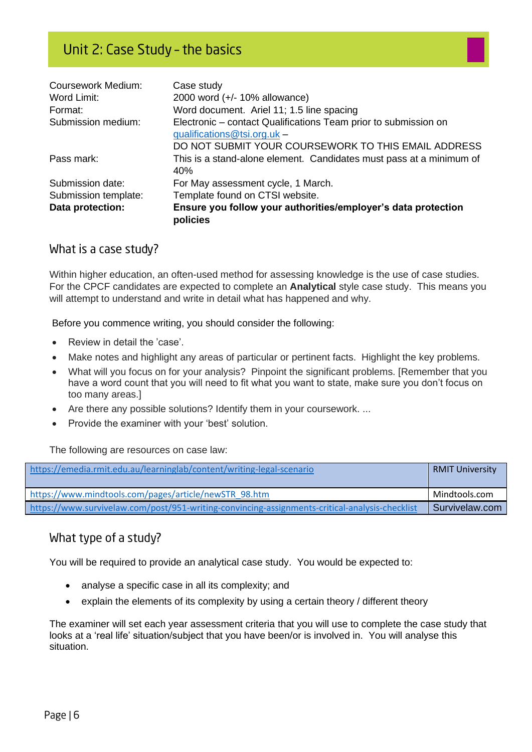| <b>Coursework Medium:</b> | Case study                                                                |
|---------------------------|---------------------------------------------------------------------------|
| Word Limit:               | 2000 word (+/- 10% allowance)                                             |
| Format:                   | Word document. Ariel 11; 1.5 line spacing                                 |
| Submission medium:        | Electronic - contact Qualifications Team prior to submission on           |
|                           | qualifications@tsi.org.uk -                                               |
|                           | DO NOT SUBMIT YOUR COURSEWORK TO THIS EMAIL ADDRESS                       |
| Pass mark:                | This is a stand-alone element. Candidates must pass at a minimum of       |
|                           | 40%                                                                       |
| Submission date:          | For May assessment cycle, 1 March.                                        |
| Submission template:      | Template found on CTSI website.                                           |
| Data protection:          | Ensure you follow your authorities/employer's data protection<br>policies |

#### What is a case study?

Within higher education, an often-used method for assessing knowledge is the use of case studies. For the CPCF candidates are expected to complete an **Analytical** style case study. This means you will attempt to understand and write in detail what has happened and why.

Before you commence writing, you should consider the following:

- Review in detail the 'case'.
- Make notes and highlight any areas of particular or pertinent facts. Highlight the key problems.
- What will you focus on for your analysis? Pinpoint the significant problems. [Remember that you have a word count that you will need to fit what you want to state, make sure you don't focus on too many areas.]
- Are there any possible solutions? Identify them in your coursework. ...
- Provide the examiner with your 'best' solution.

The following are resources on case law:

| https://emedia.rmit.edu.au/learninglab/content/writing-legal-scenario                          | <b>RMIT University</b> |
|------------------------------------------------------------------------------------------------|------------------------|
|                                                                                                |                        |
| https://www.mindtools.com/pages/article/newSTR 98.htm                                          | Mindtools.com          |
| https://www.survivelaw.com/post/951-writing-convincing-assignments-critical-analysis-checklist | Survivelaw.com         |

### What type of a study?

You will be required to provide an analytical case study. You would be expected to:

- analyse a specific case in all its complexity; and
- explain the elements of its complexity by using a certain theory / different theory

The examiner will set each year assessment criteria that you will use to complete the case study that looks at a 'real life' situation/subject that you have been/or is involved in. You will analyse this situation.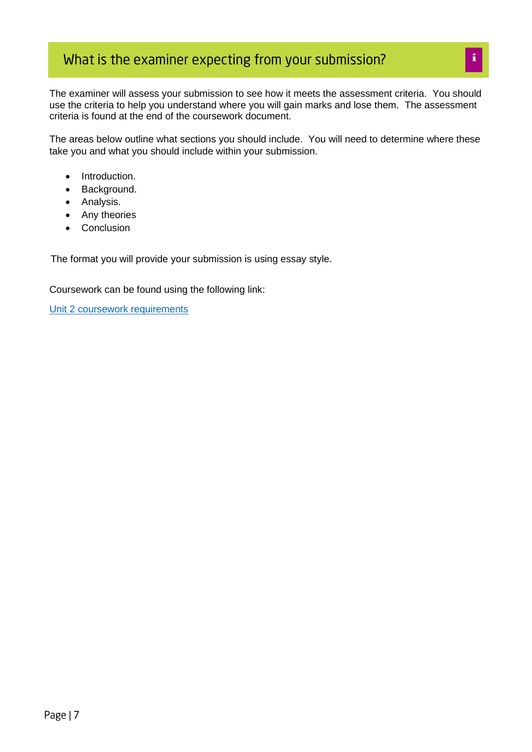## What is the examiner expecting from your submission?

The examiner will assess your submission to see how it meets the assessment criteria. You should use the criteria to help you understand where you will gain marks and lose them. The assessment criteria is found at the end of the coursework document.

The areas below outline what sections you should include. You will need to determine where these take you and what you should include within your submission.

- Introduction.
- Background.
- Analysis.
- Any theories
- Conclusion

The format you will provide your submission is using essay style.

Coursework can be found using the following link:

[Unit 2 coursework requirements](https://www.tradingstandards.uk/practitioners/training-development/qualifications-resources#stage1info)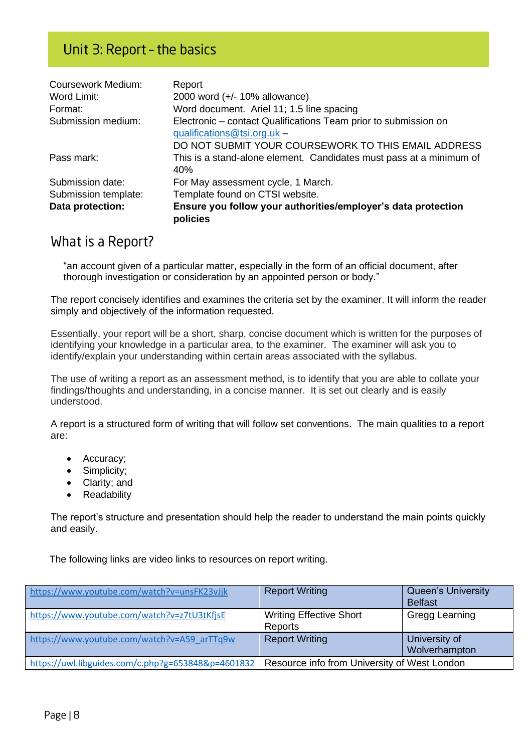## Unit 3: Report - the basics

| <b>Coursework Medium:</b> | Report                                                                    |
|---------------------------|---------------------------------------------------------------------------|
| Word Limit:               | 2000 word (+/- 10% allowance)                                             |
| Format:                   | Word document. Ariel 11; 1.5 line spacing                                 |
| Submission medium:        | Electronic – contact Qualifications Team prior to submission on           |
|                           | qualifications@tsi.org.uk -                                               |
|                           | DO NOT SUBMIT YOUR COURSEWORK TO THIS EMAIL ADDRESS                       |
| Pass mark:                | This is a stand-alone element. Candidates must pass at a minimum of       |
|                           | 40%                                                                       |
| Submission date:          | For May assessment cycle, 1 March.                                        |
| Submission template:      | Template found on CTSI website.                                           |
| Data protection:          | Ensure you follow your authorities/employer's data protection<br>policies |

#### What is a Report?

"an account given of a particular matter, especially in the form of an official document, after thorough investigation or consideration by an appointed person or body."

The report concisely identifies and examines the criteria set by the examiner. It will inform the reader simply and objectively of the information requested.

Essentially, your report will be a short, sharp, concise document which is written for the purposes of identifying your knowledge in a particular area, to the examiner. The examiner will ask you to identify/explain your understanding within certain areas associated with the syllabus.

The use of writing a report as an assessment method, is to identify that you are able to collate your findings/thoughts and understanding, in a concise manner. It is set out clearly and is easily understood.

A report is a structured form of writing that will follow set conventions. The main qualities to a report are:

- Accuracy;
- Simplicity;
- Clarity; and
- Readability

The report's structure and presentation should help the reader to understand the main points quickly and easily.

The following links are video links to resources on report writing.

| https://www.youtube.com/watch?v=unsFK23vJjk        | <b>Report Writing</b>                        | <b>Queen's University</b><br><b>Belfast</b> |
|----------------------------------------------------|----------------------------------------------|---------------------------------------------|
| https://www.youtube.com/watch?v=z7tU3tKfjsE        | <b>Writing Effective Short</b><br>Reports    | Gregg Learning                              |
| https://www.youtube.com/watch?v=A59 arTTq9w        | <b>Report Writing</b>                        | University of<br>Wolverhampton              |
| https://uwl.libguides.com/c.php?g=653848&p=4601832 | Resource info from University of West London |                                             |